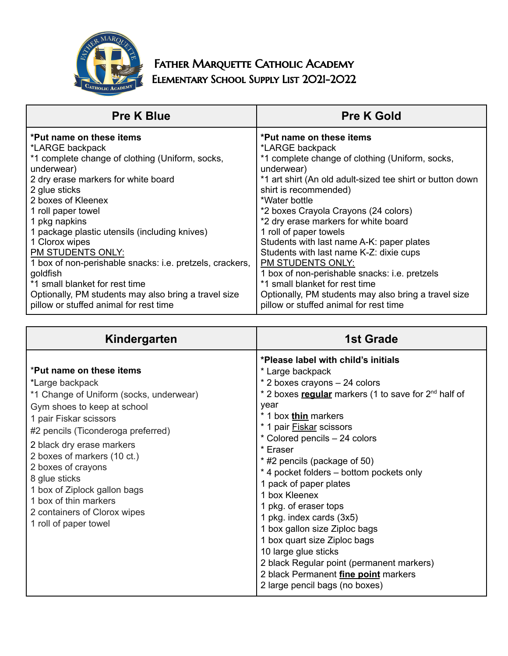

## FATHER MARQUETTE CATHOLIC ACADEMY Elementary School Supply List 2021-2022

| <b>Pre K Blue</b>                                        | <b>Pre K Gold</b>                                         |
|----------------------------------------------------------|-----------------------------------------------------------|
| *Put name on these items                                 | *Put name on these items                                  |
| *LARGE backpack                                          | *LARGE backpack                                           |
| *1 complete change of clothing (Uniform, socks,          | *1 complete change of clothing (Uniform, socks,           |
| underwear)                                               | underwear)                                                |
| 2 dry erase markers for white board                      | *1 art shirt (An old adult-sized tee shirt or button down |
| 2 glue sticks                                            | shirt is recommended)                                     |
| 2 boxes of Kleenex                                       | *Water bottle                                             |
| 1 roll paper towel                                       | *2 boxes Crayola Crayons (24 colors)                      |
| 1 pkg napkins                                            | *2 dry erase markers for white board                      |
| 1 package plastic utensils (including knives)            | 1 roll of paper towels                                    |
| 1 Clorox wipes                                           | Students with last name A-K: paper plates                 |
| PM STUDENTS ONLY:                                        | Students with last name K-Z: dixie cups                   |
| 1 box of non-perishable snacks: i.e. pretzels, crackers, | PM STUDENTS ONLY:                                         |
| goldfish                                                 | 1 box of non-perishable snacks: i.e. pretzels             |
| *1 small blanket for rest time                           | *1 small blanket for rest time                            |
| Optionally, PM students may also bring a travel size     | Optionally, PM students may also bring a travel size      |
| pillow or stuffed animal for rest time                   | pillow or stuffed animal for rest time                    |

| Kindergarten                                                                                                                                                                                                                                                                                                                                                                                               | <b>1st Grade</b>                                                                                                                                                                                                                                                                                                                                                                                                                                                                                                                                                                                                                                                         |
|------------------------------------------------------------------------------------------------------------------------------------------------------------------------------------------------------------------------------------------------------------------------------------------------------------------------------------------------------------------------------------------------------------|--------------------------------------------------------------------------------------------------------------------------------------------------------------------------------------------------------------------------------------------------------------------------------------------------------------------------------------------------------------------------------------------------------------------------------------------------------------------------------------------------------------------------------------------------------------------------------------------------------------------------------------------------------------------------|
| *Put name on these items<br>*Large backpack<br>*1 Change of Uniform (socks, underwear)<br>Gym shoes to keep at school<br>1 pair Fiskar scissors<br>#2 pencils (Ticonderoga preferred)<br>2 black dry erase markers<br>2 boxes of markers (10 ct.)<br>2 boxes of crayons<br>8 glue sticks<br>1 box of Ziplock gallon bags<br>1 box of thin markers<br>2 containers of Clorox wipes<br>1 roll of paper towel | *Please label with child's initials<br>* Large backpack<br>* 2 boxes crayons - 24 colors<br>* 2 boxes regular markers (1 to save for 2 <sup>nd</sup> half of<br>year<br>* 1 box thin markers<br>* 1 pair <b>Fiskar</b> scissors<br>* Colored pencils - 24 colors<br>* Eraser<br>* #2 pencils (package of 50)<br>* 4 pocket folders – bottom pockets only<br>1 pack of paper plates<br>1 box Kleenex<br>1 pkg. of eraser tops<br>1 pkg. index cards (3x5)<br>1 box gallon size Ziploc bags<br>1 box quart size Ziploc bags<br>10 large glue sticks<br>2 black Regular point (permanent markers)<br>2 black Permanent fine point markers<br>2 large pencil bags (no boxes) |